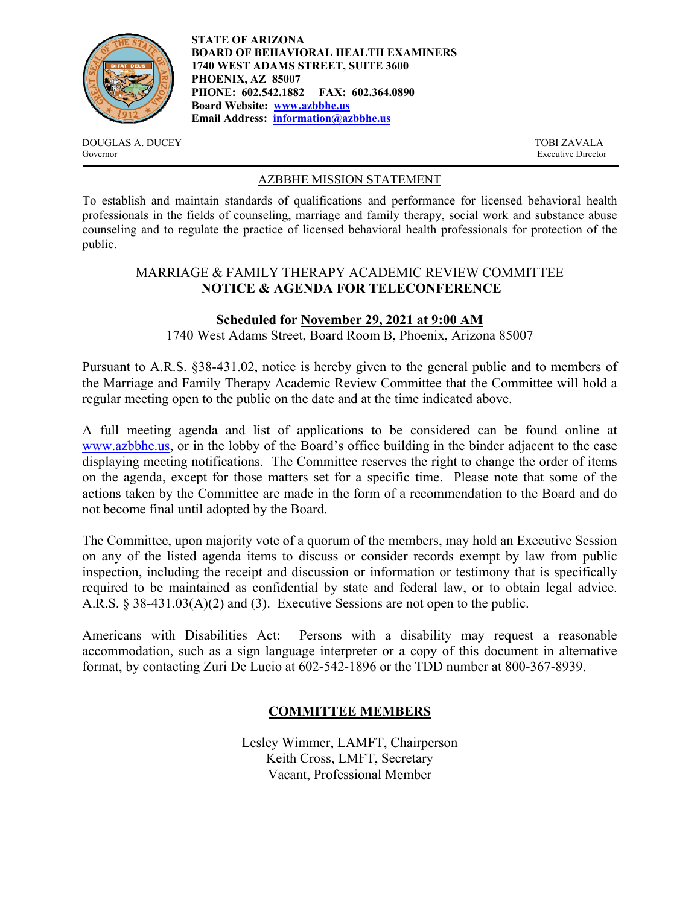

**STATE OF ARIZONA BOARD OF BEHAVIORAL HEALTH EXAMINERS 1740 WEST ADAMS STREET, SUITE 3600 PHOENIX, AZ 85007 PHONE: 602.542.1882 FAX: 602.364.0890 Board Website: www.azbbhe.us Email Address: information@azbbhe.us**

DOUGLAS A. DUCEY TOBI ZAVALA Governor Executive Director

### AZBBHE MISSION STATEMENT

To establish and maintain standards of qualifications and performance for licensed behavioral health professionals in the fields of counseling, marriage and family therapy, social work and substance abuse counseling and to regulate the practice of licensed behavioral health professionals for protection of the public.

## MARRIAGE & FAMILY THERAPY ACADEMIC REVIEW COMMITTEE **NOTICE & AGENDA FOR TELECONFERENCE**

## **Scheduled for November 29, 2021 at 9:00 AM**

1740 West Adams Street, Board Room B, Phoenix, Arizona 85007

Pursuant to A.R.S. §38-431.02, notice is hereby given to the general public and to members of the Marriage and Family Therapy Academic Review Committee that the Committee will hold a regular meeting open to the public on the date and at the time indicated above.

A full meeting agenda and list of applications to be considered can be found online at www.azbbhe.us, or in the lobby of the Board's office building in the binder adjacent to the case displaying meeting notifications. The Committee reserves the right to change the order of items on the agenda, except for those matters set for a specific time. Please note that some of the actions taken by the Committee are made in the form of a recommendation to the Board and do not become final until adopted by the Board.

The Committee, upon majority vote of a quorum of the members, may hold an Executive Session on any of the listed agenda items to discuss or consider records exempt by law from public inspection, including the receipt and discussion or information or testimony that is specifically required to be maintained as confidential by state and federal law, or to obtain legal advice. A.R.S. § 38-431.03(A)(2) and (3). Executive Sessions are not open to the public.

Americans with Disabilities Act: Persons with a disability may request a reasonable accommodation, such as a sign language interpreter or a copy of this document in alternative format, by contacting Zuri De Lucio at 602-542-1896 or the TDD number at 800-367-8939.

# **COMMITTEE MEMBERS**

Lesley Wimmer, LAMFT, Chairperson Keith Cross, LMFT, Secretary Vacant, Professional Member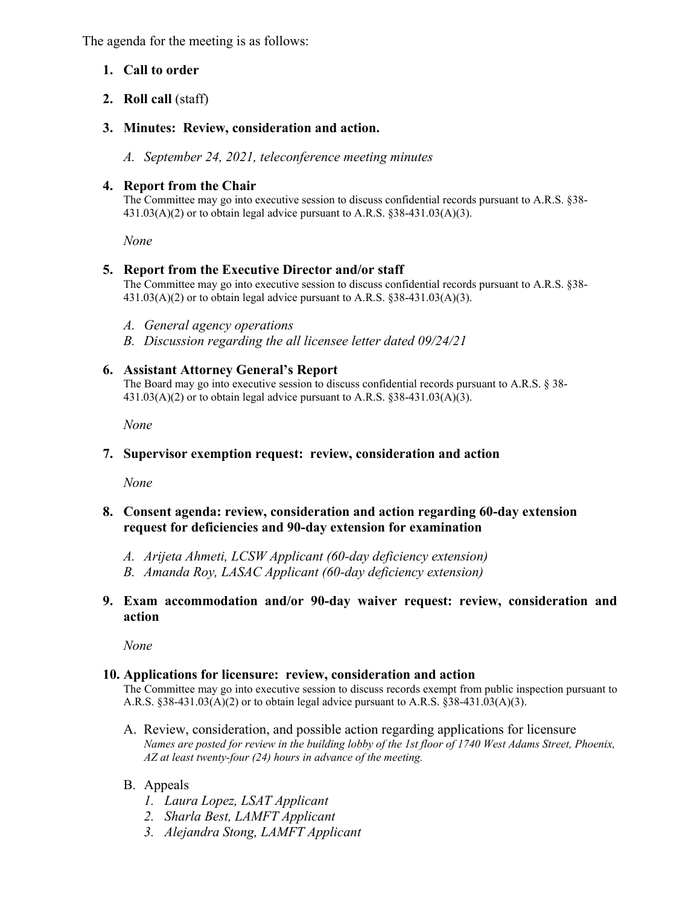The agenda for the meeting is as follows:

## **1. Call to order**

**2. Roll call** (staff)

## **3. Minutes: Review, consideration and action.**

*A. September 24, 2021, teleconference meeting minutes* 

## **4. Report from the Chair**

The Committee may go into executive session to discuss confidential records pursuant to A.R.S. §38-  $431.03(A)(2)$  or to obtain legal advice pursuant to A.R.S. §38-431.03(A)(3).

 *None* 

### **5. Report from the Executive Director and/or staff**

The Committee may go into executive session to discuss confidential records pursuant to A.R.S. §38-  $431.03(A)(2)$  or to obtain legal advice pursuant to A.R.S.  $838-431.03(A)(3)$ .

- *A. General agency operations*
- *B. Discussion regarding the all licensee letter dated 09/24/21*

### **6. Assistant Attorney General's Report**

The Board may go into executive session to discuss confidential records pursuant to A.R.S. § 38-  $431.03(A)(2)$  or to obtain legal advice pursuant to A.R.S. §38-431.03(A)(3).

 *None* 

### **7. Supervisor exemption request: review, consideration and action**

*None* 

## **8. Consent agenda: review, consideration and action regarding 60-day extension request for deficiencies and 90-day extension for examination**

- *A. Arijeta Ahmeti, LCSW Applicant (60-day deficiency extension)*
- *B. Amanda Roy, LASAC Applicant (60-day deficiency extension)*
- **9. Exam accommodation and/or 90-day waiver request: review, consideration and action**

*None* 

### **10. Applications for licensure: review, consideration and action**

The Committee may go into executive session to discuss records exempt from public inspection pursuant to A.R.S.  $§38-431.03(A)(2)$  or to obtain legal advice pursuant to A.R.S.  $§38-431.03(A)(3)$ .

- A. Review, consideration, and possible action regarding applications for licensure  *Names are posted for review in the building lobby of the 1st floor of 1740 West Adams Street, Phoenix, AZ at least twenty-four (24) hours in advance of the meeting.*
- B. Appeals
	- *1. Laura Lopez, LSAT Applicant*
	- *2. Sharla Best, LAMFT Applicant*
	- *3. Alejandra Stong, LAMFT Applicant*